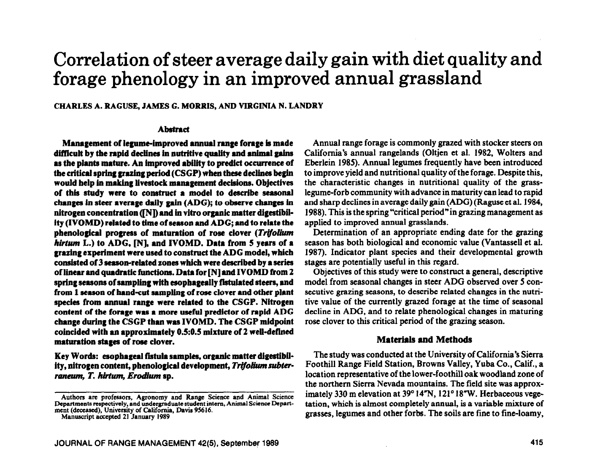# **Correlation of steer average daily gain with diet quality and forage phenology in an improved annual grassland**

**CHARLES A. RAGUSE, JAMES G. MORRIS, AND VIRGINIA N. LANDRY** 

#### **Abstract**

**Management of legume-improved ammaI range forage is made difficult by the rapid decIiner in nutritive quaIity and animaI gains as tbe pIants mature. An improved abiIity to predict occurrence of**  the critical spring grazing period (CSGP) when these declines begin **would belp in making livestock management decisions. Objectives of tbis study were to construct a model to describe seasonal changes in steer average daily gain (ADG); to observe changes in**  nitrogen concentration ([N]) and in vitro organic matter digestibil**ity (IVOMD) related to time of season and ADG; and to relate the phenological progress of maturation of rose clover** *(Trifolium hi&m* **L.) to ADG, IN], and IVOMD. Data from 5 years of a grazing experiment were used to construct the ADG model, wbicb consisted of 3 season-reiated zones which were described by a series of linear and quadratic functions. Data for [N] and IVOMD from 2**  spring seasons of sampling with esophageally fistulated steers, and from 1 season of hand-cut sampling of rose clover and other plant species from annual range were related to the CSGP. Nitrogen **content of the forage was a more useful predictor of rapid ADG change during the CSGP than was IVOMD. Tbe CSGP midpoint coincided with an approximately 0.5:0.5 mixture of 2 well-defined maturation stages of rose clover.** 

Key Words: esophageal fistula samples, organic matter digestibility, nitrogen content, phenological development, Trifolium subter*ranam, T. hirtum, Erodium* **sp.** 

Annual range forage is commonly grazed with stocker steers on California's annual rangelands (Oltjen et al. 1982, Wolters and Eberlein 1985). Annual legumes frequently have been introduced to improve yield and nutritional quality of the forage. Despite this, the characteristic changes in nutritional quality of the grasslegume-forb community with advance in maturity can lead to rapid and sharp declines in average daily gain (ADG) (Raguse et al. 1984, 1988). This is the spring "critical period"in grazing management as applied to improved annual grasslands.

Determination of an appropriate ending date for the grazing season has both biological and economic value (Vantassell et al. 1987). Indicator plant species and their developmental growth stages are potentially useful in this regard.

Objectives of this study were to construct a general, descriptive model from seasonal changes in steer ADG observed over 5 consecutive grazing seasons, to describe related changes in the nutritive value of the currently grazed forage at the time of seasonal decline in ADG, and to relate phenological changes in maturing rose clover to this critical period of the grazing season.

## **Materials and Methods**

**The** study was conducted at the University of California's Sierra Foothill Range Field Station, Browns Valley, Yuba Co., Calif., a location representative of the lower-foothill oak woodland zone of the northern Sierra Nevada mountains. The field site was approximately 330 m elevation at 39° 14"N, 121° 18"W. Herbaceous vegetation, which is almost completely annual, is a variable mixture of grasses, legumes and other forbs. The soils are fine to tine-loamy,

Authors are professors, Agronomy and Range Science and Animal Science Departments respectively, and undergraduate student intern, Animal Science Department (deceased). University of California, Davis 95616.

Manuscript accepted 21 January 1989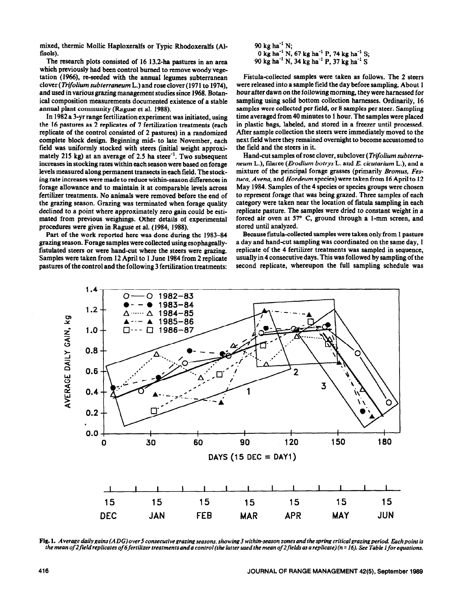mixed, thermic Mollic Haploxeralfs or Typic Rhodoxeralfs (Alfisols).

The research plots consisted of 16 13.2-ha pastures in an area which previously had been control burned to remove woody vegetation (1966), re-seeded with the annual legumes subterranean clover *(Trifolium subterraneum* L.) and rose clover (197 1 to 1974), and used in various grazing management studies since 1968. Botanical composition measurements documented existence of a stable annual plant community (Raguse et al. 1988).

In 1982 a 3-yr range fertilization experiment was initiated, using the 16 pastures as 2 replicates of 7 fertilization treatments (each replicate of the control consisted of 2 pastures) in a randomized complete block design. Beginning mid- to late November, each field was uniformly stocked with steers (initial weight approximately 215 kg) at an average of 2.5 ha steer<sup>-1</sup>. Two subsequent increases in stocking rates within each season were based on forage levels measured along permanent transects in each field. The stocking rate increases were made to reduce within-season differences in forage allowance and to maintain it at comparable levels across fertilizer treatments. No animals were removed before the end of the grazing season. Grazing was terminated when forage quality declined to a point where approximately zero gain could be estimated from previous weighings. Other details of experimental procedures were given in Raguse et al. (1984, 1988).

pastures of the control and the following 3 fertilization treatments:

90 kg ha $^{-1}$  N; 0 kg ha<sup>-1</sup> N, 67 kg ha<sup>-1</sup> P, 74 kg ha<sup>-1</sup> S; 90 kg ha<sup>-1</sup> N, 34 kg ha<sup>-1</sup> P, 37 kg ha<sup>-1</sup> S

Fistula-collected samples were taken as follows. The 2 steers were released into a sample field the day before sampling. About 1 hour after dawn on the following morning, they were harnessed for sampling using solid bottom collection harnesses. Ordinarily, 16 samples were collected per field, or 8 samples per steer. Sampling time averaged from 40 minutes to 1 hour. The samples were placed in plastic bags, labeled, and stored in a freezer until processed. After sample collection the steers were immediately moved to the next field where they remained overnight to become accustomed to the field and the steers in it.

Hand-cut samples of rose clover, subclover *(Trifolium subterraneum* L.), filaree *(Erodium botrys* L. and *E. cicutarium* L.), and a mixture of the principal forage grasses (primarily *Bromus, Fesruca, Avena,* and *Hordeum* species) were taken from 16 April to I2 May 1984. Samples of the 4 species or species groups were chosen to represent forage that was being grazed. Three samples of each category were taken near the location of fistula sampling in each replicate pasture. The samples were dried to constant weight in a forced air oven at  $57^{\circ}$  C, ground through a 1-mm screen, and stored until analyzed.

Part of the work reported here was done during the 1983-84 Because fistula-collected samples were taken only from 1 pasture grazing season. Forage samples were collected using esophageally- a day and hand-cut sampling was coordinated on the same day, 1 fistulated steers or were hand-cut where the steers were grazing. replicate of the 4 fertilizer treatments was sampled in sequence, Samples were taken from 12 April to 1 June 1984 from 2 replicate usually in 4 consecutive days. This was followed by sampling of the pastures of the control and the following 3 fertilization treatments: second replicate, w



Fig. 1. *Average daily gains (ADG)over 5 consecutive grazing seasons, showing 3 within-season zones and the spring critical grazing period. Each point is* the mean of 2 field replicates of 6 fertilizer treatments and a control (the latter used the mean of 2 fields as a replicate) (n = 16). See Table 1 for equations.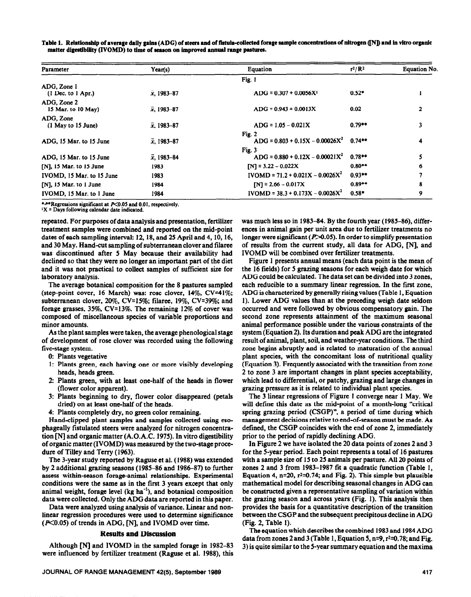Table 1. Relationship of average daily gains (ADG) of steers and of fistula-collected forage sample concentrations of nitrogen ([N]) and in vitro organic matter digestibility (IVOMD) to time of season on improved annual range pastures.

| Parameter                             | Year(s)             | Equation                                     | $r^2/R^2$ | <b>Equation No.</b> |
|---------------------------------------|---------------------|----------------------------------------------|-----------|---------------------|
|                                       |                     | Fig. 1                                       |           |                     |
| ADG, Zone 1<br>$(1$ Dec. to $1$ Apr.) | $\bar{x}$ , 1983–87 | $ADG = 0.307 + 0.0056X^1$                    | $0.52*$   |                     |
| ADG, Zone 2<br>15 Mar. to 10 May)     | $\bar{x}$ , 1983-87 | $ADG = 0.943 + 0.0013X$                      | 0.02      | $\mathbf{2}$        |
| ADG, Zone<br>(1 May to 15 June)       | $\bar{x}$ , 1983–87 | $ADG = 1.05 - 0.021X$                        | $0.79**$  | 3                   |
| ADG, 15 Mar. to 15 June               | $\bar{x}$ , 1983–87 | Fig. 2<br>$ADG = 0.803 + 0.15X - 0.00026X^2$ | $0.74**$  | 4                   |
| ADG, 15 Mar. to 15 June               | $\bar{x}$ , 1983–84 | Fig. 3<br>$ADG = 0.880 + 0.12X - 0.00021X^2$ | $0.78**$  |                     |
| $[N]$ , 15 Mar. to 15 June            | 1983                | $[N] = 3.22 - 0.022X$                        | $0.80**$  | 6                   |
| IVOMD, 15 Mar. to 15 June             | 1983                | $IVOMD = 71.2 + 0.021X - 0.0026X^2$          | $0.93**$  |                     |
| [N], 15 Mar. to 1 June                | 1984                | $[N] = 2.66 - 0.017X$                        | $0.89**$  | 8                   |
| IVOMD, 15 Mar. to 1 June              | 1984                | $IVOMD = 38.3 + 0.173X - 0.0026X^2$          | $0.58*$   | 9                   |

\*\*\*Regressions significant at P<0.05 and 0.01, respectively.

**1X = Days following calendar date indicated.** 

repeated. For purposes of data analysis and presentation, fertilizer treatment samples were combined and reported on the mid-point dates of each sampling interval: 12,18, and 25 April and 4,10,16, and 30 May. Hand-cut sampling of subterranean clover and filaree was discontinued after 5 May because their availability had declined so that they were no longer an important part of the diet and it was not practical to collect samples of sufficient size for laboratory analysis.

The average botanical composition for the 8 pastures sampled (step-point cover, 16 March) was: rose clover,  $14\%$ , CV= $41\%$ ; subterranean clover, 20%, CV=lS%; filaree, 19%, CV=39%; and forage grasses, 35%, CV=13%. The remaining 12% of cover was composed of miscellaneous species of variable proportions and minor amounts.

As the plant samples were taken, the average phenological stage of development of rose clover was recorded using the following five-stage system.

- 0: Plants vegetative
- 1: Plants green, each having one or more visibly developing heads, heads green.
- 2: Plants green, with at least one-half of the heads in flower (flower color apparent).
- 3: Plants beginning to dry, flower color disappeared (petals dried) on at least one-half of the heads.
- 4: Plants completely dry, no green color remaining.

Hand-clipped plant samples and samples collected using esophageally fistulated steers were analyzed for nitrogen concentration  $[N]$  and organic matter  $(A.O.A.C. 1975)$ . In vitro digestibility of organic matter (IVOMD) was measured by the two-stage procedure of Tilley and Terry (1963).

The 3-year study reported by Raguse et al. (1988) was extended by 2 additional grazing seasons (1985-86 and 1986-87) to further assess within-season forage-animal relationships. Experimental conditions were the same as in the first 3 years except that only animal weight, forage level  $(kg ha<sup>-1</sup>)$ , and botanical composition data were collected. Only the ADG data are reported in this paper.

Data were analyzed using analysis of variance. Linear and nonlinear regression procedures were used to determine significance  $(X<sub>0.05</sub>)$  of trends in ADG, [N], and IVOMD over time.

### **Results and Discussion**

Although  $[N]$  and IVOMD in the sampled forage in 1982-83 were influenced by fertilizer treatment (Raguse et al. 1988), this

**JOURNAL OF RANGE MANAGEMENT 42(5), September 1999 417** 

was much less so in 1983-84. By the fourth year (1985-86), differences in animal gain per unit area due to fertilizer treatments no longer were significant ( $P > 0.05$ ). In order to simplify presentation of results from the current study, all data for ADG, [N], and IVOMD will be combined over fertilizer treatments.

Figure 1 presents annual means (each data point is the mean of the 16 fields) for 5 grazing seasons for each weigh date for which ADG could be calculated. The data set can be divided into 3 zones, each reducible to a summary linear regression. In the first zone, ADG is characterized by generally rising values (Table 1, Equation 1). Lower ADG values than at the preceding weigh date seldom occurred and were followed by obvious compensatory gain. The second zone represents attainment of the maximum seasonal animal performance possible under the various constraints of the system (Equation 2). Its duration and peak ADG are the integrated result of animal, plant, soil, and weather-year conditions. The third zone begins abruptly and is related to maturation of the annual plant species, with the concomitant loss of nutritional quality (Equation 3). Frequently associated with the transition from zone 2 to zone 3 are important changes in plant species acceptability, which lead to differential, or patchy, grazing and large changes in grazing pressure as it is related to individual plant species.

The 3 linear regressions of Figure 1 converge near 1 May. We will define this date as the mid-point of a month-long "critical spring grazing period (CSGP)", a period of time during which management decisions relative to end-of-season must be made. As defined, the CSGP coincides with the end of zone 2, immediately prior to the period of rapidly declining ADG.

In Figure 2 we have isolated the 20 data points of zones 2 and 3 for the 5-year period. Each point represents a total of 16 pastures with a sample size of 15 to 25 animals per pasture. All 20 points of zones 2 and 3 from 1983-1987 fit a quadratic function (Table 1, Equation 4, n=20,  $r^2$ =0.74; and Fig. 2). This simple but plausible mathematical model for describing seasonal changes in ADG can be constructed given a representative sampling of variation within the grazing season and across years (Fig. 1). This analysis then provides the basis for a quantitative description of the transition between the CSGP and the subsequent precipitous decline in ADG (Fig. 2, Table 1).

The equation which describes the combined 1983 and 1984 ADG data from zones 2 and 3 (Table 1, Equation 5,  $n=9$ ,  $r^2=0.78$ ; and Fig. 3) is quite similar to the 5-year summary equation and the maxima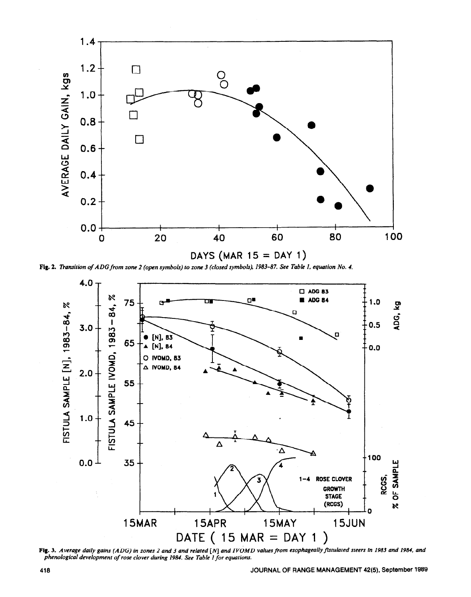

Fig. 2. Transition of ADG from zone 2 (open symbols) to zone 3 (closed symbols), 1983-87. See Table 1, equation No. 4.



Fig. 3. Average daily gains (ADG) in zones 2 and 3 and related [N] and IVOMD values from esophageally fistulated steers in 1983 and 1984, and phenological development of rose clover during 1984. See Table 1 for equations.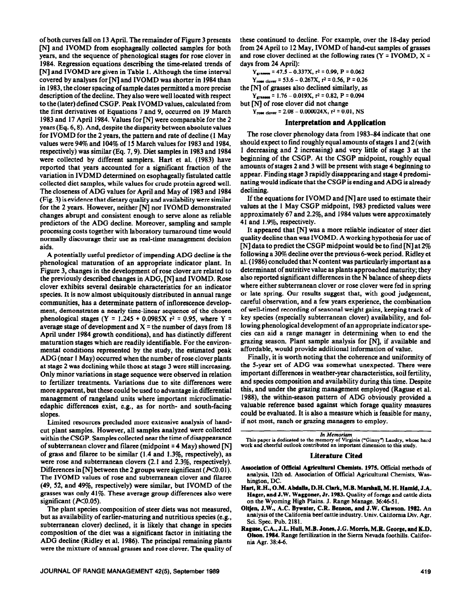of both curves fall on 13 April. The remainder of Figure 3 presents [N] and IVOMD from esophageally collected samples for both years, and the sequence of phenological stages for rose clover in 1984. Regression equations describing the time-related trends of [N] and IVOMD are given in Table 1. Although the time interval covered by analyses for  $[N]$  and IVOMD was shorter in 1984 than in 1983, the closer spacing of sample dates permitted a more precise description of the decline. They also were well located with respect to the (later) defined CSGP. Peak IVOMD values, calculated from the first derivatives of Equations 7 and 9, occurred on 19 March 1983 and 17 April 1984. Values for [N] were comparable for the 2 years (Eq. 6,8). And, despite the disparity between absolute values for IVOMD for the 2 years, the pattern and rate of decline (1 May values were 94% and 104% of 15 March values for 1983 and 1984, respectively) was similar (Eq. 7,9). Diet samples in 1983 and 1984 were collected by different samplers. Hart et al. (1983) have reported that years accounted for a significant fraction of the variation in IVDMD determined on esophageally fistulated cattle collected diet samples, while values for crude protein agreed well. The closeness of ADG values for April and May of 1983 and 1984 (Fig. 3) is evidence that dietary quality and availability were similar for the 2 years. However, neither [N] nor IVOMD demonstrated changes abrupt and consistent enough to serve alone as reliable predictors of the ADG decline. Moreover, sampling and sample processing costs together with laboratory turnaround time would normally discourage their use as real-time management decision aids.

A potentially useful predictor of impending ADG decline is the phenological maturation of an appropriate indicator plant. In Figure 3, changes in the development of rose clover are related to the previously described changes in ADG, [N] and IVOMD. Rose clover exhibits several desirable characteristics for an indicator species. It is now almost ubiquitously distributed in annual range communities, has a determinate pattern of inflorescence develop ment, demonstrates a nearly time-linear sequence of the chosen phenological stages (Y = 1.245 + 0.0985X  $r^2$  = 0.95, where Y = average stage of development and  $X =$  the number of days from 18 April under 1984 growth conditions), and has distinctly different maturation stages which are readily identifiable. For the environmental conditions represented by the study, the estimated peak ADG (near 1 May) occurred when the number of rose clover plants at stage 2 was declining while those at stage 3 were still increasing. Only minor variations in stage sequence were observed in relation to fertilizer treatments. Variations due to site differences were more apparent, but these could be used to advantage in differential management of rangeland units where important microclimaticedaphic differences exist, e.g., as for north- and south-facing slopes.

Limited resources precluded more extensive analysis of handcut plant samples. However, all samples analyzed were collected within the CSGP. Samples collected near the time of disappearance of subterranean clover and filaree (midpoint  $= 4$  May) showed [N] of grass and filaree to be similar (1.4 and 1.3%. respectively), as were rose and subterranean clovers (2.1 and 2.3%, respectively). Differences in [N] between the 2 groups were significant ( $P<0.01$ ). The IVOMD values of rose and subterranean clover and filaree (49, 52, and 49%, respectively) were similar, but IVOMD of the grasses was only 41%. These average group differences also were significant ( $P<0.05$ ).

The plant species composition of steer diets was not measured, but as availability of earlier-maturing and nutritious species (e.g., subterranean clover) declined, it is likely that change in species composition of the diet was a significant factor in initiating the ADG decline (Ridley et al. 1986). The principal remaining plants were the mixture of annual grasses and rose clover. The quality of these continued to decline. For example, over the 18-day period from 24 April to 12 May, IVOMD of hand-cut samples of grasses and rose clover declined at the following rates ( $Y = IVOMD$ ,  $X =$ days from 24 April):

 $Y_{\text{granes}} = 47.5 - 0.337X, r^2 = 0.99, P = 0.062$  $Y_{\text{rose clover}} = 53.6 - 0.267X$ ,  $r^2 = 0.56$ ,  $P = 0.26$ 

the  $\lceil N \rceil$  of grasses also declined similarly, as

 $Y_{\text{grases}} = 1.76 - 0.019X, r^2 = 0.82, P = 0.094$ 

but [N] of rose clover did not change

 $Y_{\text{rose clover}} = 2.08 - 0.000024X$ ,  $r^2 = 0.01$ , NS

## **Interpretation and Application**

**The** rose clover phenology data from 1983-84 indicate that one should expect to find roughly equal amounts of stages 1 and 2 (with 1 decreasing and 2 increasing) and very little of stage 3 at the beginning of the CSGP. At the CSGP midpoint, roughly equal amounts of stages 2 and 3 will be present with stage 4 beginning to appear. Finding stage 3 rapidly disappearing and stage 4 predominating would indicate that the CSGP is ending **and** ADG is already declining.

If the equations for IVOMD and [N] are used to estimate their values at the 1 May CSGP midpoint, 1983 predicted values were approximately 67 and 2.2%, and 1984 values were approximately 41 and 1.9%, respectively.

It appeared that [N] was a more reliable indicator of steer diet quality **decline** than was IVOMD. A working hypothesis for use of  $[N]$  data to predict the CSGP midpoint would be to find  $[N]$  at 2% following a 39% decline over the previous 6-week period. Ridley et al. (1986) concluded that N content was particularly important as a determinant of nutritive value as plants approached maturity; they also reported significant differences in the N balance of sheep diets where either subterranean clover or rose clover were fed in spring or late spring. Our results suggest that, with good judgement, careful observation, and a few years experience, the combination of well-timed recording of seasonal weight gains, keeping track of key species (especially subterranean clover) availability, and following phenological development of an appropriate indicator species can aid a range manager in determining when to end the grazing season. Plant sample analysis for [NJ if available and affordable, would provide additional information of value.

Finally, it is worth noting that the coherence and uniformity of the 5-year set of ADG was somewhat unexpected. There were important differences in weather-year characteristics, soil fertility, and species composition and availability during this time. Despite this, and under the grazing management employed (Raguse et al. 1988), the within-season pattern of ADG obviously provided a valuable reference based against which forage quality measures could be evaluated. It is also a measure which is feasible for many, if not most, ranch or grazing managers to employ.

This paper is dedicated to the memory of Virginia ("Ginny") Landry, whose hard work and cheerful outlook contributed an important dimension to this study.

#### **Literature Cited**

- Association of Offlcial Agricultural Chemists. 1975. **official methods of analysis, 12th ed. Association of official Agricultural Chemists, Washington, DC.**
- Hart, R.H., O.M. Abdalla, D.H. Clark, M.B. Marshall, M.H. Hamid, J.A. Hager, and J.W. Waggoner, Jr. 1983. Quality of forage and cattle diets on the Wyoming High Plains. J. Range Manage. 36:46-51.
- Oltjen, J.W., A.C. Bywater, C.R. Benson, and J.W. Clawson. 1982. An **analysis of the California beefcattle industry. Univ. California Div. Agr. Sci. Spec. Pub. 2181.**
- Raguse, C.A., J.L. Hull, M.B. Jones, J.G. Morris, M.R. George, and K.D. Olson. 1984. Range **fertilization in the Sierra Nevada foothills. California Agr. 384-6.**

in Memoriam